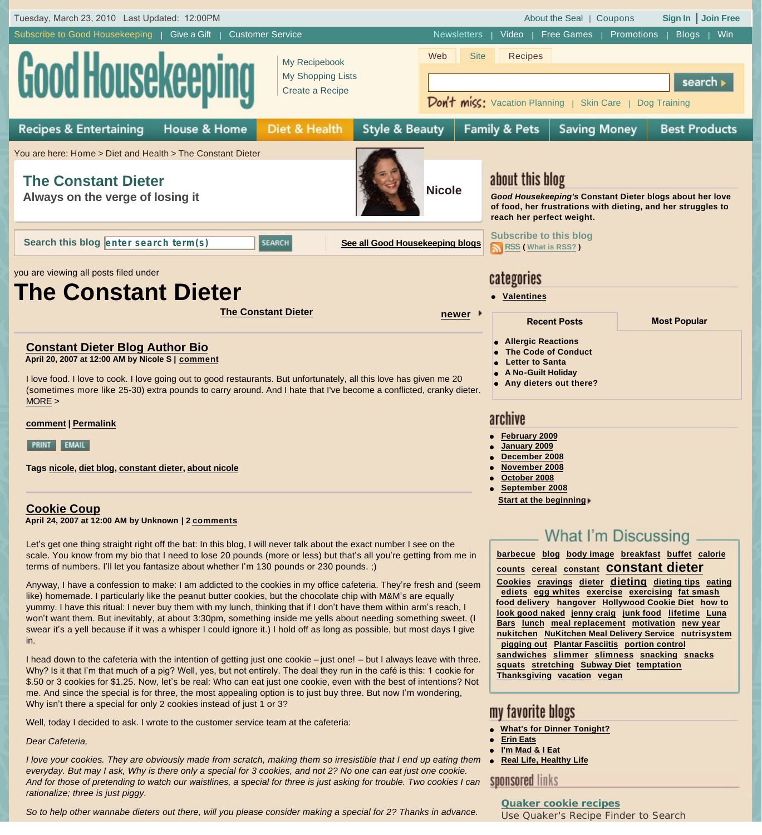

*rationalize; three is just piggy. So to help other wannabe dieters out there, will you please consider making a special for 2? Thanks in advance.*

**Quaker cookie recipes** Use Quaker's Recipe Finder to Search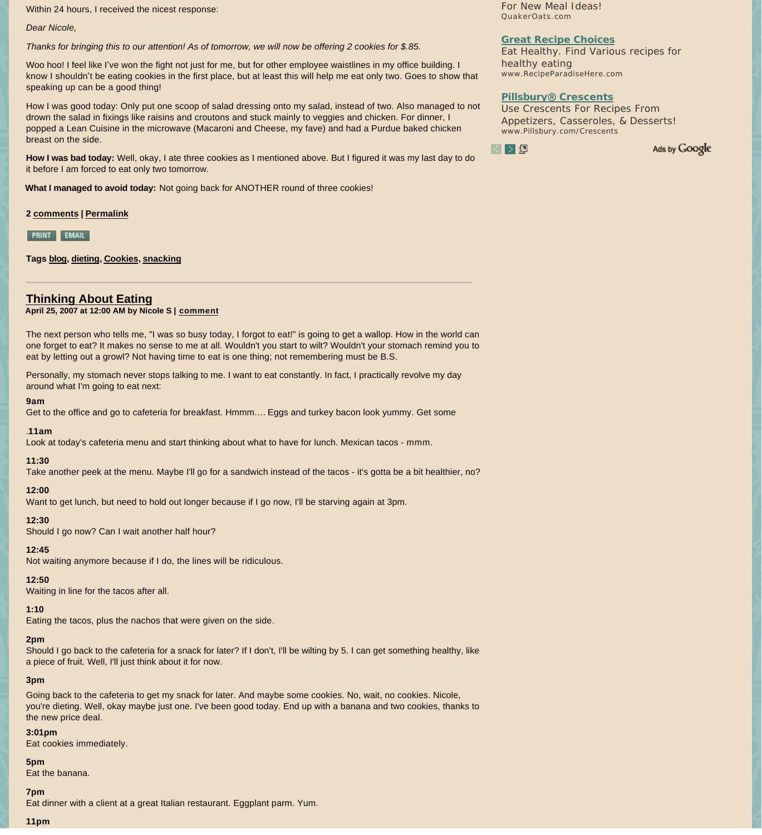Within 24 hours, I received the nicest response:

*Dear Nicole,*

*Thanks for bringing this to our attention! As of tomorrow, we will now be offering 2 cookies for \$.85.*

Woo hoo! I feel like I've won the fight not just for me, but for other employee waistlines in my office building. I know I shouldn't be eating cookies in the first place, but at least this will help me eat only two. Goes to show that speaking up can be a good thing!

How I was good today: Only put one scoop of salad dressing onto my salad, instead of two. Also managed to not drown the salad in fixings like raisins and croutons and stuck mainly to veggies and chicken. For dinner, I popped a Lean Cuisine in the microwave (Macaroni and Cheese, my fave) and had a Purdue baked chicken breast on the side.

**How I was bad today:** Well, okay, I ate three cookies as I mentioned above. But I figured it was my last day to do it before I am forced to eat only two tomorrow.

**What I managed to avoid today:** Not going back for ANOTHER round of three cookies!

**2 [comments](http://www.goodhousekeeping.com/health/dieters/constant-dieter-blog-0515#comments) | [Permalink](http://www.goodhousekeeping.com/health/dieters/constant-dieter-blog-0515)**

**PRINT EMAIL** 

**Tags [blog,](http://www.goodhousekeeping.com/archives/health/dieters/by_tag/blog/15;1) [dieting](http://www.goodhousekeeping.com/archives/health/dieters/by_tag/dieting/15;1), [Cookies,](http://www.goodhousekeeping.com/archives/health/dieters/by_tag/Cookies/15;1) [snacking](http://www.goodhousekeeping.com/archives/health/dieters/by_tag/snacking/15;1)**

## **[Thinking About Eating](http://www.goodhousekeeping.com/health/dieters/constant-dieter-blog-051707)**

### **April 25, 2007 at 12:00 AM by Nicole S | [comment](http://www.goodhousekeeping.com/health/dieters/constant-dieter-blog-051707#comments)**

The next person who tells me, "I was so busy today, I forgot to eat!" is going to get a wallop. How in the world can one forget to eat? It makes no sense to me at all. Wouldn't you start to wilt? Wouldn't your stomach remind you to eat by letting out a growl? Not having time to eat is one thing; not remembering must be B.S.

Personally, my stomach never stops talking to me. I want to eat constantly. In fact, I practically revolve my day around what I'm going to eat next:

### **9am**

Get to the office and go to cafeteria for breakfast. Hmmm…. Eggs and turkey bacon look yummy. Get some

### .**11am**

Look at today's cafeteria menu and start thinking about what to have for lunch. Mexican tacos - mmm.

### **11:30**

Take another peek at the menu. Maybe I'll go for a sandwich instead of the tacos - it's gotta be a bit healthier, no?

### **12:00**

Want to get lunch, but need to hold out longer because if I go now, I'll be starving again at 3pm.

## **12:30**

Should I go now? Can I wait another half hour?

### **12:45**

Not waiting anymore because if I do, the lines will be ridiculous.

### **12:50**

Waiting in line for the tacos after all.

### **1:10**

Eating the tacos, plus the nachos that were given on the side.

### **2pm**

Should I go back to the cafeteria for a snack for later? If I don't, I'll be wilting by 5. I can get something healthy, like a piece of fruit. Well, I'll just think about it for now.

### **3pm**

Going back to the cafeteria to get my snack for later. And maybe some cookies. No, wait, no cookies. Nicole, you're dieting. Well, okay maybe just one. I've been good today. End up with a banana and two cookies, thanks to the new price deal.

## **3:01pm**

Eat cookies immediately.

## **5pm**

Eat the banana.

### **7pm**

Eat dinner with a client at a great Italian restaurant. Eggplant parm. Yum.

**11pm**

For New Meal Ideas! QuakerOats.com

### **Great Recipe Choices**

Eat Healthy. Find Various recipes for healthy eating www.RecipeParadiseHere.com

## **Pillsbury® Crescents**

Use Crescents For Recipes From Appetizers, Casseroles, & Desserts! www.Pillsbury.com/Crescents



Ads by Google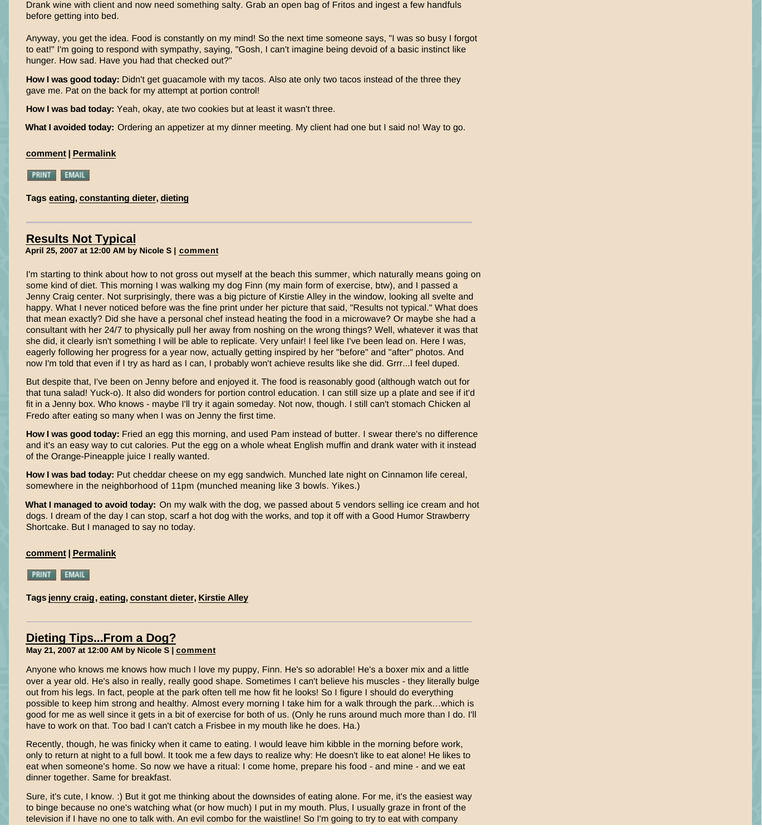Drank wine with client and now need something salty. Grab an open bag of Fritos and ingest a few handfuls before getting into bed.

Anyway, you get the idea. Food is constantly on my mind! So the next time someone says, "I was so busy I forgot to eat!" I'm going to respond with sympathy, saying, "Gosh, I can't imagine being devoid of a basic instinct like hunger. How sad. Have you had that checked out?"

**How I was good today:** Didn't get guacamole with my tacos. Also ate only two tacos instead of the three they gave me. Pat on the back for my attempt at portion control!

**How I was bad today:** Yeah, okay, ate two cookies but at least it wasn't three.

**What I avoided today:** Ordering an appetizer at my dinner meeting. My client had one but I said no! Way to go.

## **[comment](http://www.goodhousekeeping.com/health/dieters/constant-dieter-blog-051707#comments) | [Permalink](http://www.goodhousekeeping.com/health/dieters/constant-dieter-blog-051707)**

PRINT EMAIL

**Tags [eating,](http://www.goodhousekeeping.com/archives/health/dieters/by_tag/eating/15;1) [constanting dieter,](http://www.goodhousekeeping.com/archives/health/dieters/by_tag/constanting%20dieter/15;1) [dieting](http://www.goodhousekeeping.com/archives/health/dieters/by_tag/dieting/15;1)**

## **[Results Not Typical](http://www.goodhousekeeping.com/health/dieters/constant-dieter-blog-051907)**

**April 25, 2007 at 12:00 AM by Nicole S | [comment](http://www.goodhousekeeping.com/health/dieters/constant-dieter-blog-051907#comments)**

I'm starting to think about how to not gross out myself at the beach this summer, which naturally means going on some kind of diet. This morning I was walking my dog Finn (my main form of exercise, btw), and I passed a Jenny Craig center. Not surprisingly, there was a big picture of Kirstie Alley in the window, looking all svelte and happy. What I never noticed before was the fine print under her picture that said, "Results not typical." What does that mean exactly? Did she have a personal chef instead heating the food in a microwave? Or maybe she had a consultant with her 24/7 to physically pull her away from noshing on the wrong things? Well, whatever it was that she did, it clearly isn't something I will be able to replicate. Very unfair! I feel like I've been lead on. Here I was, eagerly following her progress for a year now, actually getting inspired by her "before" and "after" photos. And now I'm told that even if I try as hard as I can, I probably won't achieve results like she did. Grrr...I feel duped.

But despite that, I've been on Jenny before and enjoyed it. The food is reasonably good (although watch out for that tuna salad! Yuck-o). It also did wonders for portion control education. I can still size up a plate and see if it'd fit in a Jenny box. Who knows - maybe I'll try it again someday. Not now, though. I still can't stomach Chicken al Fredo after eating so many when I was on Jenny the first time.

**How I was good today:** Fried an egg this morning, and used Pam instead of butter. I swear there's no difference and it's an easy way to cut calories. Put the egg on a whole wheat English muffin and drank water with it instead of the Orange-Pineapple juice I really wanted.

**How I was bad today:** Put cheddar cheese on my egg sandwich. Munched late night on Cinnamon life cereal, somewhere in the neighborhood of 11pm (munched meaning like 3 bowls. Yikes.)

**What I managed to avoid today:** On my walk with the dog, we passed about 5 vendors selling ice cream and hot dogs. I dream of the day I can stop, scarf a hot dog with the works, and top it off with a Good Humor Strawberry Shortcake. But I managed to say no today.

**[comment](http://www.goodhousekeeping.com/health/dieters/constant-dieter-blog-051907#comments) | [Permalink](http://www.goodhousekeeping.com/health/dieters/constant-dieter-blog-051907)**

**PRINT EMAIL** 

**Tags [jenny craig](http://www.goodhousekeeping.com/archives/health/dieters/by_tag/jenny%20craig/15;1), [eating,](http://www.goodhousekeeping.com/archives/health/dieters/by_tag/eating/15;1) [constant dieter,](http://www.goodhousekeeping.com/archives/health/dieters/by_tag/constant%20dieter/15;1) [Kirstie Alley](http://www.goodhousekeeping.com/archives/health/dieters/by_tag/Kirstie%20Alley/15;1)**

# **[Dieting Tips...From a Dog?](http://www.goodhousekeeping.com/health/dieters/constant-dieter-blog-052107)**

**May 21, 2007 at 12:00 AM by Nicole S | [comment](http://www.goodhousekeeping.com/health/dieters/constant-dieter-blog-052107#comments)**

Anyone who knows me knows how much I love my puppy, Finn. He's so adorable! He's a boxer mix and a little over a year old. He's also in really, really good shape. Sometimes I can't believe his muscles - they literally bulge out from his legs. In fact, people at the park often tell me how fit he looks! So I figure I should do everything possible to keep him strong and healthy. Almost every morning I take him for a walk through the park…which is good for me as well since it gets in a bit of exercise for both of us. (Only he runs around much more than I do. I'll have to work on that. Too bad I can't catch a Frisbee in my mouth like he does. Ha.)

Recently, though, he was finicky when it came to eating. I would leave him kibble in the morning before work, only to return at night to a full bowl. It took me a few days to realize why: He doesn't like to eat alone! He likes to eat when someone's home. So now we have a ritual: I come home, prepare his food - and mine - and we eat dinner together. Same for breakfast.

Sure, it's cute, I know. :) But it got me thinking about the downsides of eating alone. For me, it's the easiest way to binge because no one's watching what (or how much) I put in my mouth. Plus, I usually graze in front of the television if I have no one to talk with. An evil combo for the waistline! So I'm going to try to eat with company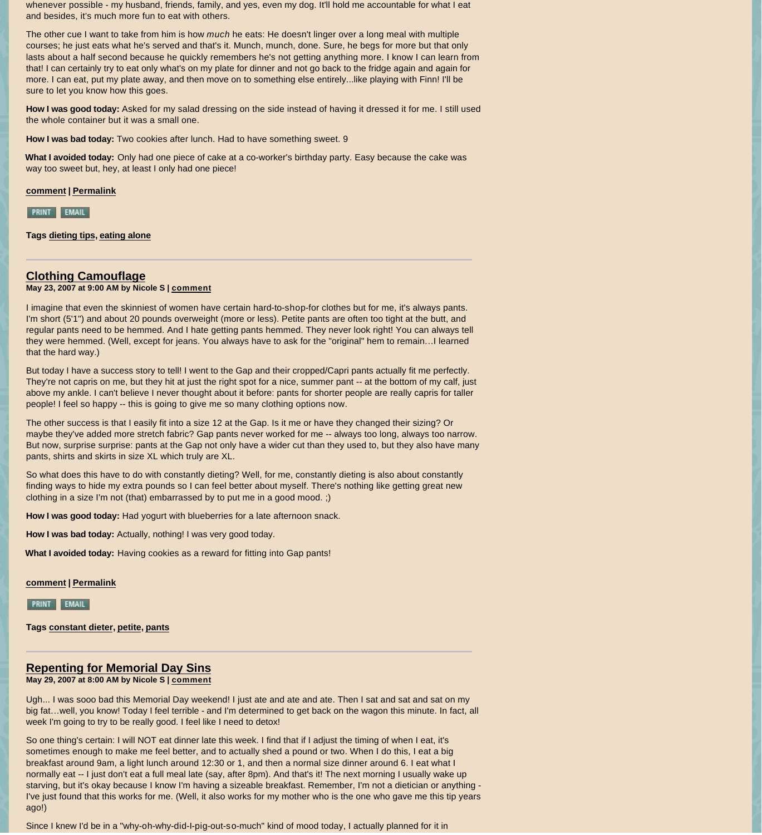whenever possible - my husband, friends, family, and yes, even my dog. It'll hold me accountable for what I eat and besides, it's much more fun to eat with others.

The other cue I want to take from him is how *much* he eats: He doesn't linger over a long meal with multiple courses; he just eats what he's served and that's it. Munch, munch, done. Sure, he begs for more but that only lasts about a half second because he quickly remembers he's not getting anything more. I know I can learn from that! I can certainly try to eat only what's on my plate for dinner and not go back to the fridge again and again for more. I can eat, put my plate away, and then move on to something else entirely...like playing with Finn! I'll be sure to let you know how this goes.

**How I was good today:** Asked for my salad dressing on the side instead of having it dressed it for me. I still used the whole container but it was a small one.

**How I was bad today:** Two cookies after lunch. Had to have something sweet. 9

**What I avoided today:** Only had one piece of cake at a co-worker's birthday party. Easy because the cake was way too sweet but, hey, at least I only had one piece!

**[comment](http://www.goodhousekeeping.com/health/dieters/constant-dieter-blog-052107#comments) | [Permalink](http://www.goodhousekeeping.com/health/dieters/constant-dieter-blog-052107)**

**PRINT EMAIL** 

**Tags [dieting tips](http://www.goodhousekeeping.com/archives/health/dieters/by_tag/dieting%20tips/15;1), [eating alone](http://www.goodhousekeeping.com/archives/health/dieters/by_tag/eating%20alone/15;1)**

## **[Clothing Camouflage](http://www.goodhousekeeping.com/health/dieters/constant-dieter-blog-052307)**

**May 23, 2007 at 9:00 AM by Nicole S | [comment](http://www.goodhousekeeping.com/health/dieters/constant-dieter-blog-052307#comments)**

I imagine that even the skinniest of women have certain hard-to-shop-for clothes but for me, it's always pants. I'm short (5'1") and about 20 pounds overweight (more or less). Petite pants are often too tight at the butt, and regular pants need to be hemmed. And I hate getting pants hemmed. They never look right! You can always tell they were hemmed. (Well, except for jeans. You always have to ask for the "original" hem to remain…I learned that the hard way.)

But today I have a success story to tell! I went to the Gap and their cropped/Capri pants actually fit me perfectly. They're not capris on me, but they hit at just the right spot for a nice, summer pant -- at the bottom of my calf, just above my ankle. I can't believe I never thought about it before: pants for shorter people are really capris for taller people! I feel so happy -- this is going to give me so many clothing options now.

The other success is that I easily fit into a size 12 at the Gap. Is it me or have they changed their sizing? Or maybe they've added more stretch fabric? Gap pants never worked for me -- always too long, always too narrow. But now, surprise surprise: pants at the Gap not only have a wider cut than they used to, but they also have many pants, shirts and skirts in size XL which truly are XL.

So what does this have to do with constantly dieting? Well, for me, constantly dieting is also about constantly finding ways to hide my extra pounds so I can feel better about myself. There's nothing like getting great new clothing in a size I'm not (that) embarrassed by to put me in a good mood. ;)

**How I was good today:** Had yogurt with blueberries for a late afternoon snack.

**How I was bad today:** Actually, nothing! I was very good today.

**What I avoided today:** Having cookies as a reward for fitting into Gap pants!

**[comment](http://www.goodhousekeeping.com/health/dieters/constant-dieter-blog-052307#comments) | [Permalink](http://www.goodhousekeeping.com/health/dieters/constant-dieter-blog-052307)**

**PRINT EMAIL** 

**Tags [constant dieter](http://www.goodhousekeeping.com/archives/health/dieters/by_tag/constant%20dieter/15;1), [petite](http://www.goodhousekeeping.com/archives/health/dieters/by_tag/petite/15;1), [pants](http://www.goodhousekeeping.com/archives/health/dieters/by_tag/pants/15;1)**

## **[Repenting for Memorial Day Sins](http://www.goodhousekeeping.com/health/dieters/constant-dieter-blog-052907)**

**May 29, 2007 at 8:00 AM by Nicole S | [comment](http://www.goodhousekeeping.com/health/dieters/constant-dieter-blog-052907#comments)**

Ugh... I was sooo bad this Memorial Day weekend! I just ate and ate and ate. Then I sat and sat and sat on my big fat...well, you know! Today I feel terrible - and I'm determined to get back on the wagon this minute. In fact, all week I'm going to try to be really good. I feel like I need to detox!

So one thing's certain: I will NOT eat dinner late this week. I find that if I adjust the timing of when I eat, it's sometimes enough to make me feel better, and to actually shed a pound or two. When I do this, I eat a big breakfast around 9am, a light lunch around 12:30 or 1, and then a normal size dinner around 6. I eat what I normally eat -- I just don't eat a full meal late (say, after 8pm). And that's it! The next morning I usually wake up starving, but it's okay because I know I'm having a sizeable breakfast. Remember, I'm not a dietician or anything -I've just found that this works for me. (Well, it also works for my mother who is the one who gave me this tip years ago!)

Since I knew I'd be in a "why-oh-why-did-I-pig-out-so-much" kind of mood today, I actually planned for it in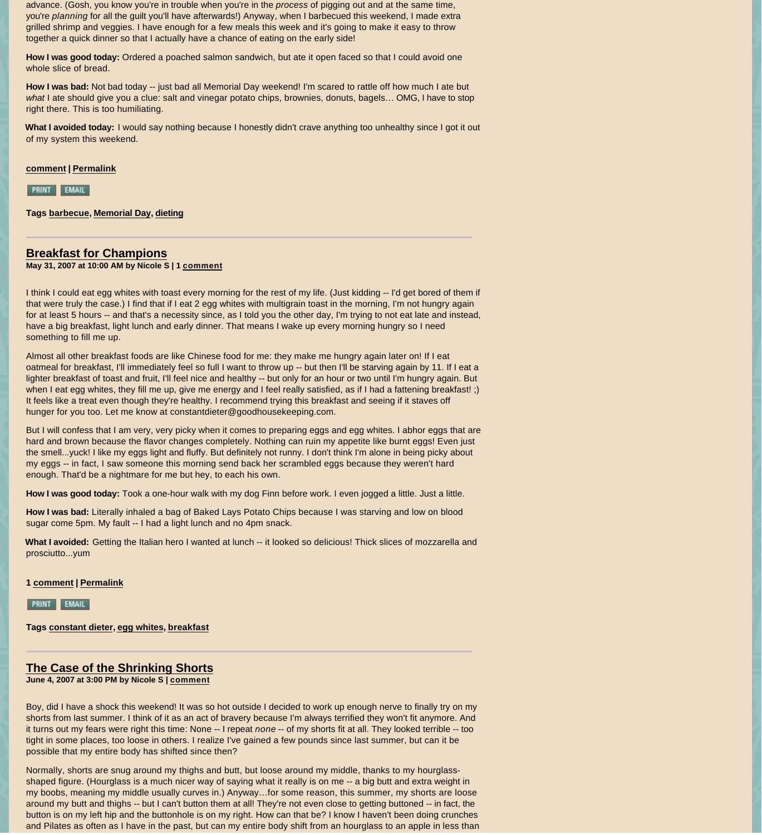advance. (Gosh, you know you're in trouble when you're in the *process* of pigging out and at the same time, you're *planning* for all the guilt you'll have afterwards!) Anyway, when I barbecued this weekend, I made extra grilled shrimp and veggies. I have enough for a few meals this week and it's going to make it easy to throw together a quick dinner so that I actually have a chance of eating on the early side!

**How I was good today:** Ordered a poached salmon sandwich, but ate it open faced so that I could avoid one whole slice of bread.

**How I was bad:** Not bad today -- just bad all Memorial Day weekend! I'm scared to rattle off how much I ate but *what* I ate should give you a clue: salt and vinegar potato chips, brownies, donuts, bagels… OMG, I have to stop right there. This is too humiliating.

**What I avoided today:** I would say nothing because I honestly didn't crave anything too unhealthy since I got it out of my system this weekend.

### **[comment](http://www.goodhousekeeping.com/health/dieters/constant-dieter-blog-052907#comments) | [Permalink](http://www.goodhousekeeping.com/health/dieters/constant-dieter-blog-052907)**

PRINT EMAIL

**Tags [barbecue](http://www.goodhousekeeping.com/archives/health/dieters/by_tag/barbecue/15;1), [Memorial Day](http://www.goodhousekeeping.com/archives/health/dieters/by_tag/Memorial%20Day/15;1), [dieting](http://www.goodhousekeeping.com/archives/health/dieters/by_tag/dieting/15;1)**

## **[Breakfast for Champions](http://www.goodhousekeeping.com/health/dieters/constant-dieter-blog-053107)**

**May 31, 2007 at 10:00 AM by Nicole S | 1 [comment](http://www.goodhousekeeping.com/health/dieters/constant-dieter-blog-053107#comments)**

I think I could eat egg whites with toast every morning for the rest of my life. (Just kidding -- I'd get bored of them if that were truly the case.) I find that if I eat 2 egg whites with multigrain toast in the morning, I'm not hungry again for at least 5 hours -- and that's a necessity since, as I told you the other day, I'm trying to not eat late and instead, have a big breakfast, light lunch and early dinner. That means I wake up every morning hungry so I need something to fill me up.

Almost all other breakfast foods are like Chinese food for me: they make me hungry again later on! If I eat oatmeal for breakfast, I'll immediately feel so full I want to throw up -- but then I'll be starving again by 11. If I eat a lighter breakfast of toast and fruit, I'll feel nice and healthy -- but only for an hour or two until I'm hungry again. But when I eat egg whites, they fill me up, give me energy and I feel really satisfied, as if I had a fattening breakfast! ;) It feels like a treat even though they're healthy. I recommend trying this breakfast and seeing if it staves off hunger for you too. Let me know at constantdieter@goodhousekeeping.com.

But I will confess that I am very, very picky when it comes to preparing eggs and egg whites. I abhor eggs that are hard and brown because the flavor changes completely. Nothing can ruin my appetite like burnt eggs! Even just the smell...yuck! I like my eggs light and fluffy. But definitely not runny. I don't think I'm alone in being picky about my eggs -- in fact, I saw someone this morning send back her scrambled eggs because they weren't hard enough. That'd be a nightmare for me but hey, to each his own.

**How I was good today:** Took a one-hour walk with my dog Finn before work. I even jogged a little. Just a little.

**How I was bad:** Literally inhaled a bag of Baked Lays Potato Chips because I was starving and low on blood sugar come 5pm. My fault -- I had a light lunch and no 4pm snack.

**What I avoided:** Getting the Italian hero I wanted at lunch -- it looked so delicious! Thick slices of mozzarella and prosciutto...yum

**1 [comment](http://www.goodhousekeeping.com/health/dieters/constant-dieter-blog-053107#comments) | [Permalink](http://www.goodhousekeeping.com/health/dieters/constant-dieter-blog-053107)**

PRINT EMAIL

**Tags [constant dieter](http://www.goodhousekeeping.com/archives/health/dieters/by_tag/constant%20dieter/15;1), [egg whites](http://www.goodhousekeeping.com/archives/health/dieters/by_tag/egg%20whites/15;1), [breakfast](http://www.goodhousekeeping.com/archives/health/dieters/by_tag/breakfast/15;1)**

## **[The Case of the Shrinking Shorts](http://www.goodhousekeeping.com/health/dieters/constant-dieter-blog-060407)**

**June 4, 2007 at 3:00 PM by Nicole S | [comment](http://www.goodhousekeeping.com/health/dieters/constant-dieter-blog-060407#comments)**

Boy, did I have a shock this weekend! It was so hot outside I decided to work up enough nerve to finally try on my shorts from last summer. I think of it as an act of bravery because I'm always terrified they won't fit anymore. And it turns out my fears were right this time: None -- I repeat *none* -- of my shorts fit at all. They looked terrible -- too tight in some places, too loose in others. I realize I've gained a few pounds since last summer, but can it be possible that my entire body has shifted since then?

Normally, shorts are snug around my thighs and butt, but loose around my middle, thanks to my hourglassshaped figure. (Hourglass is a much nicer way of saying what it really is on me -- a big butt and extra weight in my boobs, meaning my middle usually curves in.) Anyway…for some reason, this summer, my shorts are loose around my butt and thighs -- but I can't button them at all! They're not even close to getting buttoned -- in fact, the button is on my left hip and the buttonhole is on my right. How can that be? I know I haven't been doing crunches and Pilates as often as I have in the past, but can my entire body shift from an hourglass to an apple in less than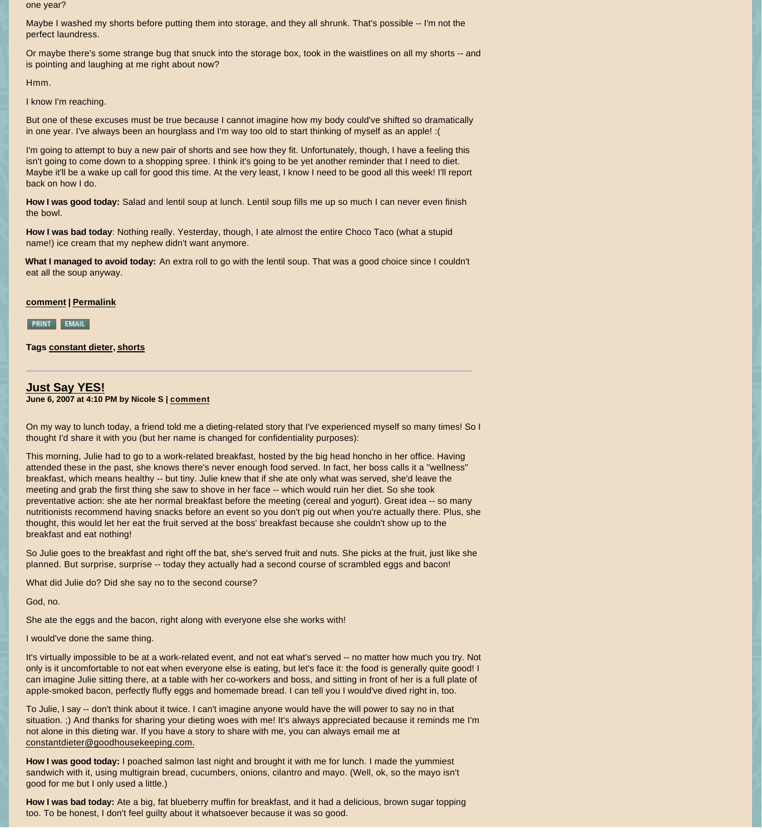one year?

Maybe I washed my shorts before putting them into storage, and they all shrunk. That's possible -- I'm not the perfect laundress.

Or maybe there's some strange bug that snuck into the storage box, took in the waistlines on all my shorts -- and is pointing and laughing at me right about now?

Hmm.

I know I'm reaching.

But one of these excuses must be true because I cannot imagine how my body could've shifted so dramatically in one year. I've always been an hourglass and I'm way too old to start thinking of myself as an apple! :(

I'm going to attempt to buy a new pair of shorts and see how they fit. Unfortunately, though, I have a feeling this isn't going to come down to a shopping spree. I think it's going to be yet another reminder that I need to diet. Maybe it'll be a wake up call for good this time. At the very least, I know I need to be good all this week! I'll report back on how I do.

**How I was good today:** Salad and lentil soup at lunch. Lentil soup fills me up so much I can never even finish the bowl.

**How I was bad today**: Nothing really. Yesterday, though, I ate almost the entire Choco Taco (what a stupid name!) ice cream that my nephew didn't want anymore.

**What I managed to avoid today:** An extra roll to go with the lentil soup. That was a good choice since I couldn't eat all the soup anyway.

### **[comment](http://www.goodhousekeeping.com/health/dieters/constant-dieter-blog-060407#comments) | [Permalink](http://www.goodhousekeeping.com/health/dieters/constant-dieter-blog-060407)**

**PRINT EMAIL** 

**Tags [constant dieter](http://www.goodhousekeeping.com/archives/health/dieters/by_tag/constant%20dieter/15;1), [shorts](http://www.goodhousekeeping.com/archives/health/dieters/by_tag/shorts/15;1)**

## **[Just Say YES!](http://www.goodhousekeeping.com/health/dieters/constant-dieter-blog-060607)**

**June 6, 2007 at 4:10 PM by Nicole S | [comment](http://www.goodhousekeeping.com/health/dieters/constant-dieter-blog-060607#comments)**

On my way to lunch today, a friend told me a dieting-related story that I've experienced myself so many times! So I thought I'd share it with you (but her name is changed for confidentiality purposes):

This morning, Julie had to go to a work-related breakfast, hosted by the big head honcho in her office. Having attended these in the past, she knows there's never enough food served. In fact, her boss calls it a "wellness" breakfast, which means healthy -- but tiny. Julie knew that if she ate only what was served, she'd leave the meeting and grab the first thing she saw to shove in her face -- which would ruin her diet. So she took preventative action: she ate her normal breakfast before the meeting (cereal and yogurt). Great idea -- so many nutritionists recommend having snacks before an event so you don't pig out when you're actually there. Plus, she thought, this would let her eat the fruit served at the boss' breakfast because she couldn't show up to the breakfast and eat nothing!

So Julie goes to the breakfast and right off the bat, she's served fruit and nuts. She picks at the fruit, just like she planned. But surprise, surprise -- today they actually had a second course of scrambled eggs and bacon!

What did Julie do? Did she say no to the second course?

God, no.

She ate the eggs and the bacon, right along with everyone else she works with!

I would've done the same thing.

It's virtually impossible to be at a work-related event, and not eat what's served -- no matter how much you try. Not only is it uncomfortable to not eat when everyone else is eating, but let's face it: the food is generally quite good! I can imagine Julie sitting there, at a table with her co-workers and boss, and sitting in front of her is a full plate of apple-smoked bacon, perfectly fluffy eggs and homemade bread. I can tell you I would've dived right in, too.

To Julie, I say -- don't think about it twice. I can't imagine anyone would have the will power to say no in that situation. ;) And thanks for sharing your dieting woes with me! It's always appreciated because it reminds me I'm [not alone in this dieting war. If you have a](mailto:constantdieter@goodhousekeeping.com) story to share with me, you can always email me at constantdieter@goodhousekeeping.com.

**How I was good today:** I poached salmon last night and brought it with me for lunch. I made the yummiest sandwich with it, using multigrain bread, cucumbers, onions, cilantro and mayo. (Well, ok, so the mayo isn't good for me but I only used a little.)

**How I was bad today:** Ate a big, fat blueberry muffin for breakfast, and it had a delicious, brown sugar topping too. To be honest, I don't feel guilty about it whatsoever because it was so good.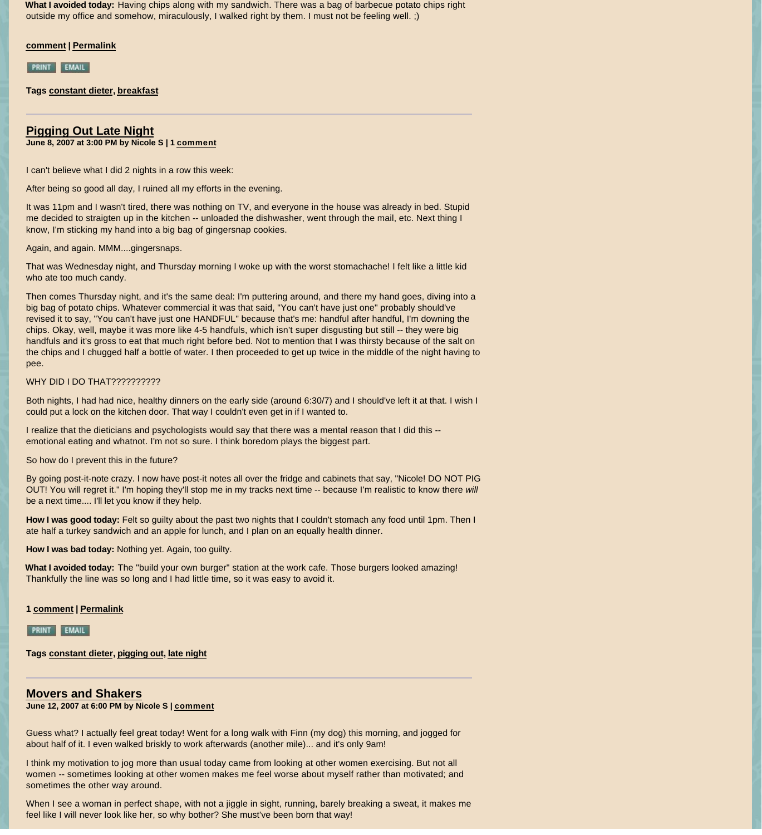**What I avoided today:** Having chips along with my sandwich. There was a bag of barbecue potato chips right outside my office and somehow, miraculously, I walked right by them. I must not be feeling well. ;)

**[comment](http://www.goodhousekeeping.com/health/dieters/constant-dieter-blog-060607#comments) | [Permalink](http://www.goodhousekeeping.com/health/dieters/constant-dieter-blog-060607)**

**PRINT EMAIL** 

**Tags [constant dieter](http://www.goodhousekeeping.com/archives/health/dieters/by_tag/constant%20dieter/15;1), [breakfast](http://www.goodhousekeeping.com/archives/health/dieters/by_tag/breakfast/15;1)**

### **[Pigging Out Late Night](http://www.goodhousekeeping.com/health/dieters/constant-dieter-blog-060807) June 8, 2007 at 3:00 PM by Nicole S | 1 [comment](http://www.goodhousekeeping.com/health/dieters/constant-dieter-blog-060807#comments)**

I can't believe what I did 2 nights in a row this week:

After being so good all day, I ruined all my efforts in the evening.

It was 11pm and I wasn't tired, there was nothing on TV, and everyone in the house was already in bed. Stupid me decided to straigten up in the kitchen -- unloaded the dishwasher, went through the mail, etc. Next thing I know, I'm sticking my hand into a big bag of gingersnap cookies.

Again, and again. MMM....gingersnaps.

That was Wednesday night, and Thursday morning I woke up with the worst stomachache! I felt like a little kid who ate too much candy.

Then comes Thursday night, and it's the same deal: I'm puttering around, and there my hand goes, diving into a big bag of potato chips. Whatever commercial it was that said, "You can't have just one" probably should've revised it to say, "You can't have just one HANDFUL" because that's me: handful after handful, I'm downing the chips. Okay, well, maybe it was more like 4-5 handfuls, which isn't super disgusting but still -- they were big handfuls and it's gross to eat that much right before bed. Not to mention that I was thirsty because of the salt on the chips and I chugged half a bottle of water. I then proceeded to get up twice in the middle of the night having to pee.

### WHY DID I DO THAT??????????

Both nights, I had had nice, healthy dinners on the early side (around 6:30/7) and I should've left it at that. I wish I could put a lock on the kitchen door. That way I couldn't even get in if I wanted to.

I realize that the dieticians and psychologists would say that there was a mental reason that I did this - emotional eating and whatnot. I'm not so sure. I think boredom plays the biggest part.

So how do I prevent this in the future?

By going post-it-note crazy. I now have post-it notes all over the fridge and cabinets that say, "Nicole! DO NOT PIG OUT! You will regret it." I'm hoping they'll stop me in my tracks next time -- because I'm realistic to know there *will*  be a next time.... I'll let you know if they help.

**How I was good today:** Felt so guilty about the past two nights that I couldn't stomach any food until 1pm. Then I ate half a turkey sandwich and an apple for lunch, and I plan on an equally health dinner.

**How I was bad today:** Nothing yet. Again, too guilty.

**What I avoided today:** The "build your own burger" station at the work cafe. Those burgers looked amazing! Thankfully the line was so long and I had little time, so it was easy to avoid it.

#### **1 [comment](http://www.goodhousekeeping.com/health/dieters/constant-dieter-blog-060807#comments) | [Permalink](http://www.goodhousekeeping.com/health/dieters/constant-dieter-blog-060807)**

**PRINT EMAIL** 

**Tags [constant dieter](http://www.goodhousekeeping.com/archives/health/dieters/by_tag/constant%20dieter/15;1), [pigging out](http://www.goodhousekeeping.com/archives/health/dieters/by_tag/pigging%20out/15;1), [late night](http://www.goodhousekeeping.com/archives/health/dieters/by_tag/late%20night/15;1)**

### **[Movers and Shakers](http://www.goodhousekeeping.com/health/dieters/constant-dieter-blog-061207)**

**June 12, 2007 at 6:00 PM by Nicole S | [comment](http://www.goodhousekeeping.com/health/dieters/constant-dieter-blog-061207#comments)**

Guess what? I actually feel great today! Went for a long walk with Finn (my dog) this morning, and jogged for about half of it. I even walked briskly to work afterwards (another mile)... and it's only 9am!

I think my motivation to jog more than usual today came from looking at other women exercising. But not all women -- sometimes looking at other women makes me feel worse about myself rather than motivated; and sometimes the other way around.

When I see a woman in perfect shape, with not a jiggle in sight, running, barely breaking a sweat, it makes me feel like I will never look like her, so why bother? She must've been born that way!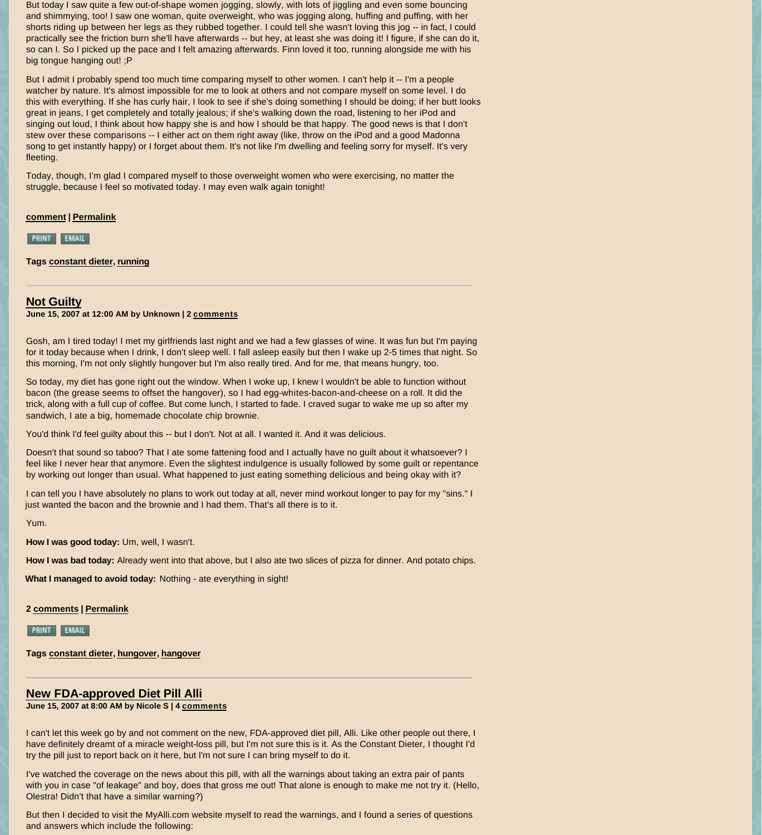But today I saw quite a few out-of-shape women jogging, slowly, with lots of jiggling and even some bouncing and shimmying, too! I saw one woman, quite overweight, who was jogging along, huffing and puffing, with her shorts riding up between her legs as they rubbed together. I could tell she wasn't loving this jog -- in fact, I could practically see the friction burn she'll have afterwards -- but hey, at least she was doing it! I figure, if she can do it, so can I. So I picked up the pace and I felt amazing afterwards. Finn loved it too, running alongside me with his big tongue hanging out! ;P

But I admit I probably spend too much time comparing myself to other women. I can't help it -- I'm a people watcher by nature. It's almost impossible for me to look at others and not compare myself on some level. I do this with everything. If she has curly hair, I look to see if she's doing something I should be doing; if her butt looks great in jeans, I get completely and totally jealous; if she's walking down the road, listening to her iPod and singing out loud, I think about how happy she is and how I should be that happy. The good news is that I don't stew over these comparisons -- I either act on them right away (like, throw on the iPod and a good Madonna song to get instantly happy) or I forget about them. It's not like I'm dwelling and feeling sorry for myself. It's very fleeting.

Today, though, I'm glad I compared myself to those overweight women who were exercising, no matter the struggle, because I feel so motivated today. I may even walk again tonight!

**[comment](http://www.goodhousekeeping.com/health/dieters/constant-dieter-blog-061207#comments) | [Permalink](http://www.goodhousekeeping.com/health/dieters/constant-dieter-blog-061207)**

**PRINT EMAIL** 

**Tags [constant dieter](http://www.goodhousekeeping.com/archives/health/dieters/by_tag/constant%20dieter/15;1), [running](http://www.goodhousekeeping.com/archives/health/dieters/by_tag/running/15;1)**

### **[Not Guilty](http://www.goodhousekeeping.com/health/dieters/constant-dieter-blog-061407)**

**June 15, 2007 at 12:00 AM by Unknown | 2 [comments](http://www.goodhousekeeping.com/health/dieters/constant-dieter-blog-061407#comments)**

Gosh, am I tired today! I met my girlfriends last night and we had a few glasses of wine. It was fun but I'm paying for it today because when I drink, I don't sleep well. I fall asleep easily but then I wake up 2-5 times that night. So this morning, I'm not only slightly hungover but I'm also really tired. And for me, that means hungry, too.

So today, my diet has gone right out the window. When I woke up, I knew I wouldn't be able to function without bacon (the grease seems to offset the hangover), so I had egg-whites-bacon-and-cheese on a roll. It did the trick, along with a full cup of coffee. But come lunch, I started to fade. I craved sugar to wake me up so after my sandwich, I ate a big, homemade chocolate chip brownie.

You'd think I'd feel guilty about this -- but I don't. Not at all. I wanted it. And it was delicious.

Doesn't that sound so taboo? That I ate some fattening food and I actually have no guilt about it whatsoever? I feel like I never hear that anymore. Even the slightest indulgence is usually followed by some guilt or repentance by working out longer than usual. What happened to just eating something delicious and being okay with it?

I can tell you I have absolutely no plans to work out today at all, never mind workout longer to pay for my "sins." I just wanted the bacon and the brownie and I had them. That's all there is to it.

Yum.

**How I was good today:** Um, well, I wasn't.

**How I was bad today:** Already went into that above, but I also ate two slices of pizza for dinner. And potato chips.

**What I managed to avoid today:** Nothing - ate everything in sight!

**2 [comments](http://www.goodhousekeeping.com/health/dieters/constant-dieter-blog-061407#comments) | [Permalink](http://www.goodhousekeeping.com/health/dieters/constant-dieter-blog-061407)**

**PRINT EMAIL** 

**Tags [constant dieter](http://www.goodhousekeeping.com/archives/health/dieters/by_tag/constant%20dieter/15;1), [hungover](http://www.goodhousekeeping.com/archives/health/dieters/by_tag/hungover/15;1), [hangover](http://www.goodhousekeeping.com/archives/health/dieters/by_tag/hangover/15;1)**

## **[New FDA-approved Diet Pill Alli](http://www.goodhousekeeping.com/health/dieters/constant-dieter-blog-061507)**

**June 15, 2007 at 8:00 AM by Nicole S | 4 [comments](http://www.goodhousekeeping.com/health/dieters/constant-dieter-blog-061507#comments)**

I can't let this week go by and not comment on the new, FDA-approved diet pill, Alli. Like other people out there, I have definitely dreamt of a miracle weight-loss pill, but I'm not sure this is it. As the Constant Dieter, I thought I'd try the pill just to report back on it here, but I'm not sure I can bring myself to do it.

I've watched the coverage on the news about this pill, with all the warnings about taking an extra pair of pants with you in case "of leakage" and boy, does that gross me out! That alone is enough to make me not try it. (Hello, Olestra! Didn't that have a similar warning?)

But then I decided to visit the MyAlli.com website myself to read the warnings, and I found a series of questions and answers which include the following: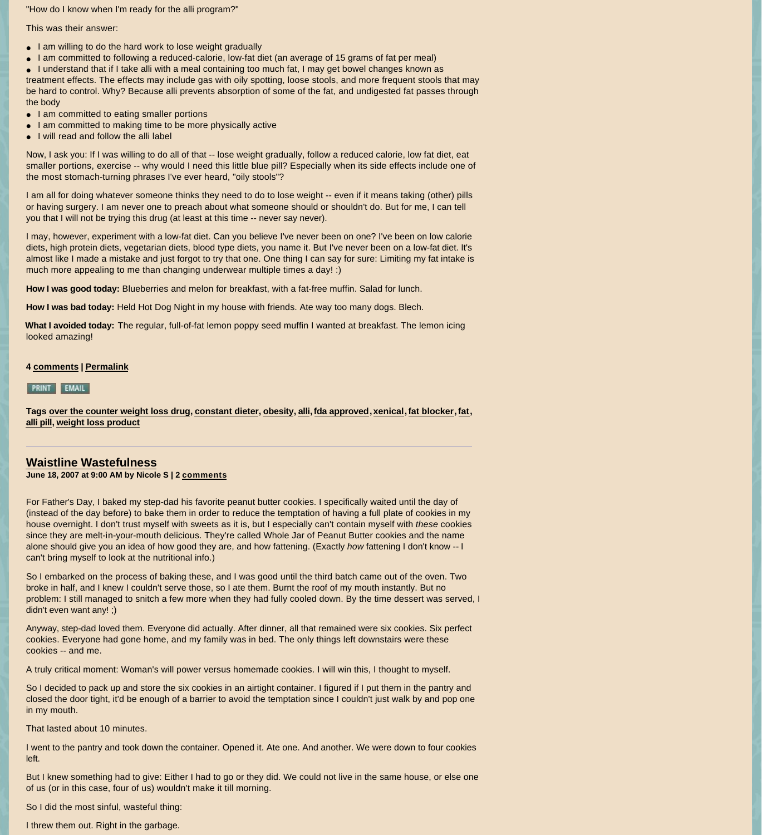"How do I know when I'm ready for the alli program?"

This was their answer:

- I am willing to do the hard work to lose weight gradually
- l I am committed to following a reduced-calorie, low-fat diet (an average of 15 grams of fat per meal)
- l I understand that if I take alli with a meal containing too much fat, I may get bowel changes known as

treatment effects. The effects may include gas with oily spotting, loose stools, and more frequent stools that may be hard to control. Why? Because alli prevents absorption of some of the fat, and undigested fat passes through the body

- I am committed to eating smaller portions
- I am committed to making time to be more physically active
- l I will read and follow the alli label

Now, I ask you: If I was willing to do all of that -- lose weight gradually, follow a reduced calorie, low fat diet, eat smaller portions, exercise -- why would I need this little blue pill? Especially when its side effects include one of the most stomach-turning phrases I've ever heard, "oily stools"?

I am all for doing whatever someone thinks they need to do to lose weight -- even if it means taking (other) pills or having surgery. I am never one to preach about what someone should or shouldn't do. But for me, I can tell you that I will not be trying this drug (at least at this time -- never say never).

I may, however, experiment with a low-fat diet. Can you believe I've never been on one? I've been on low calorie diets, high protein diets, vegetarian diets, blood type diets, you name it. But I've never been on a low-fat diet. It's almost like I made a mistake and just forgot to try that one. One thing I can say for sure: Limiting my fat intake is much more appealing to me than changing underwear multiple times a day! :)

**How I was good today:** Blueberries and melon for breakfast, with a fat-free muffin. Salad for lunch.

**How I was bad today:** Held Hot Dog Night in my house with friends. Ate way too many dogs. Blech.

**What I avoided today:** The regular, full-of-fat lemon poppy seed muffin I wanted at breakfast. The lemon icing looked amazing!

**4 [comments](http://www.goodhousekeeping.com/health/dieters/constant-dieter-blog-061507#comments) | [Permalink](http://www.goodhousekeeping.com/health/dieters/constant-dieter-blog-061507)**

PRINT EMAIL

**[Tags](http://www.goodhousekeeping.com/archives/health/dieters/by_tag/alli%20pill/15;1) [over the counter weight loss drug](http://www.goodhousekeeping.com/archives/health/dieters/by_tag/over%20the%20counter%20weight%20loss%20drug/15;1), [constant dieter](http://www.goodhousekeeping.com/archives/health/dieters/by_tag/constant%20dieter/15;1), [obesity](http://www.goodhousekeeping.com/archives/health/dieters/by_tag/obesity/15;1), [alli,](http://www.goodhousekeeping.com/archives/health/dieters/by_tag/alli/15;1) [fda approved,](http://www.goodhousekeeping.com/archives/health/dieters/by_tag/fda%20approved/15;1) [xenical](http://www.goodhousekeeping.com/archives/health/dieters/by_tag/xenical/15;1), [fat blocker](http://www.goodhousekeeping.com/archives/health/dieters/by_tag/fat%20blocker/15;1), [fat](http://www.goodhousekeeping.com/archives/health/dieters/by_tag/fat/15;1), alli pill, [weight loss product](http://www.goodhousekeeping.com/archives/health/dieters/by_tag/weight%20loss%20product/15;1)**

### **[Waistline Wastefulness](http://www.goodhousekeeping.com/health/dieters/constant-dieter-blog-061807)**

**June 18, 2007 at 9:00 AM by Nicole S | 2 [comments](http://www.goodhousekeeping.com/health/dieters/constant-dieter-blog-061807#comments)**

For Father's Day, I baked my step-dad his favorite peanut butter cookies. I specifically waited until the day of (instead of the day before) to bake them in order to reduce the temptation of having a full plate of cookies in my house overnight. I don't trust myself with sweets as it is, but I especially can't contain myself with *these* cookies since they are melt-in-your-mouth delicious. They're called Whole Jar of Peanut Butter cookies and the name alone should give you an idea of how good they are, and how fattening. (Exactly *how* fattening I don't know -- I can't bring myself to look at the nutritional info.)

So I embarked on the process of baking these, and I was good until the third batch came out of the oven. Two broke in half, and I knew I couldn't serve those, so I ate them. Burnt the roof of my mouth instantly. But no problem: I still managed to snitch a few more when they had fully cooled down. By the time dessert was served, I didn't even want any! ;)

Anyway, step-dad loved them. Everyone did actually. After dinner, all that remained were six cookies. Six perfect cookies. Everyone had gone home, and my family was in bed. The only things left downstairs were these cookies -- and me.

A truly critical moment: Woman's will power versus homemade cookies. I will win this, I thought to myself.

So I decided to pack up and store the six cookies in an airtight container. I figured if I put them in the pantry and closed the door tight, it'd be enough of a barrier to avoid the temptation since I couldn't just walk by and pop one in my mouth.

That lasted about 10 minutes.

I went to the pantry and took down the container. Opened it. Ate one. And another. We were down to four cookies left.

But I knew something had to give: Either I had to go or they did. We could not live in the same house, or else one of us (or in this case, four of us) wouldn't make it till morning.

So I did the most sinful, wasteful thing:

I threw them out. Right in the garbage.